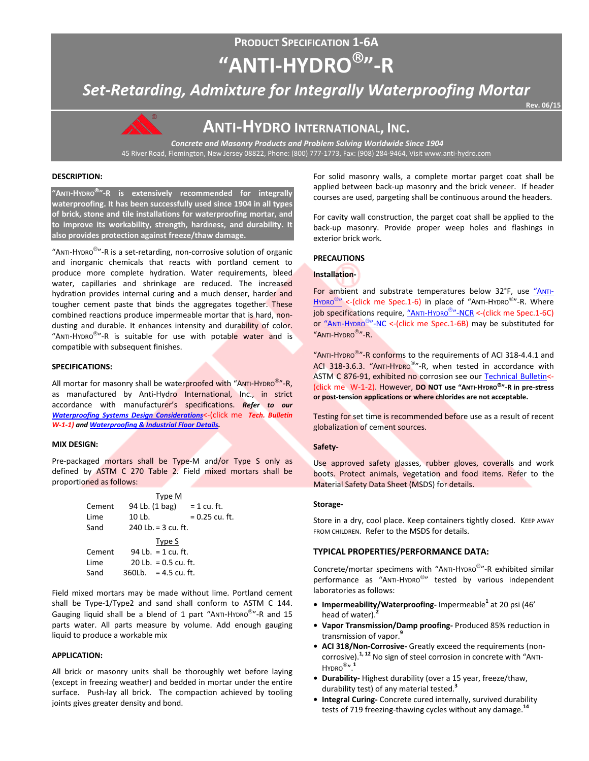# **PRODUCT SPECIFICATION 1-6A "ANTI-HYDRO"-R**

*Set-Retarding, Admixture for Integrally Waterproofing Mortar*

**Rev. 06/15**



## **ANTI-HYDRO INTERNATIONAL, INC.**

*Concrete and Masonry Products and Problem Solving Worldwide Since 1904* 45 River Road, Flemington, New Jersey 08822, Phone: (800) 777-1773, Fax: (908) 284-9464, Visi[t www.anti-hydro.com](http://www.anti-hydro.com/)

#### **DESCRIPTION:**

**"ANTI-HYDRO"-R is extensively recommended for integrally waterproofing. It has been successfully used since 1904 in all types of brick, stone and tile installations for waterproofing mortar, and to improve its workability, strength, hardness, and durability. It also provides protection against freeze/thaw damage.** 

"ANTI-HYDRO<sup>®</sup>"-R is a set-retarding, non-corrosive solution of organic and inorganic chemicals that reacts with portland cement to produce more complete hydration. Water requirements, bleed water, capillaries and shrinkage are reduced. The increased hydration provides internal curing and a much denser, harder and tougher cement paste that binds the aggregates together. These combined reactions produce impermeable mortar that is hard, nondusting and durable. It enhances intensity and durability of color. "ANTI-HYDRO<sup>®</sup>"-R is suitable for use with potable water and is compatible with subsequent finishes.

#### **SPECIFICATIONS:**

All mortar for masonry shall be waterproofed with "ANTI-HYDRO<sup>®</sup>"-R. as manufactured by Anti-Hydro International, Inc., in strict accordance with manufacturer's specifications. *Refer to our [Waterproofing Systems Design Considerations](http://ahi.pcmacnerds.biz/developed/pdf-display-all.php?name=TB-W-1-1.pdf&path=resources/downloads/tech-bulletins/)*<-(click me *Tech. Bulletin W-1-1) an[d Waterproofing & Industrial Floor Details.](http://ahi.pcmacnerds.biz/developed/pdf-display-all.php?name=TB-W-1-1.pdf&path=resources/downloads/tech-bulletins/)*

#### **MIX DESIGN:**

Pre-packaged mortars shall be Type-M and/or Type S only as defined by ASTM C 270 Table 2. Field mixed mortars shall be proportioned as follows:

|        |                        | Type M                 |                  |
|--------|------------------------|------------------------|------------------|
| Cement | 94 Lb. (1 bag)         |                        | = 1 cu. ft.      |
| Lime   | 10 Lb.                 |                        | $= 0.25$ cu. ft. |
| Sand   | 240 Lb. = $3$ cu. ft.  |                        |                  |
|        |                        | Type S                 |                  |
| Cement |                        | 94 Lb. = $1$ cu. ft.   |                  |
| Lime   |                        | 20 Lb. $= 0.5$ cu. ft. |                  |
| Sand   | $360Lb. = 4.5 cu. ft.$ |                        |                  |

Field mixed mortars may be made without lime. Portland cement shall be Type-1/Type2 and sand shall conform to ASTM C 144. Gauging liquid shall be a blend of 1 part "ANTI-HYDRO<sup>®</sup>"-R and 15 parts water. All parts measure by volume. Add enough gauging liquid to produce a workable mix

### **APPLICATION:**

All brick or masonry units shall be thoroughly wet before laying (except in freezing weather) and bedded in mortar under the entire surface. Push-lay all brick. The compaction achieved by tooling joints gives greater density and bond.

For solid masonry walls, a complete mortar parget coat shall be applied between back-up masonry and the brick veneer. If header courses are used, pargeting shall be continuous around the headers.

For cavity wall construction, the parget coat shall be applied to the back-up masonry. Provide proper weep holes and flashings in exterior brick work.

#### **PRECAUTIONS**

### **Installation-**

For ambient and substrate temperatures below 32°F, use ["ANTI-](http://ahi.pcmacnerds.biz/developed/pdf-display-all.php?name=spec_1-6.pdf&path=resources/downloads/product_specifications/)[HYDRO](http://ahi.pcmacnerds.biz/developed/pdf-display-all.php?name=spec_1-6.pdf&path=resources/downloads/product_specifications/) $^{\circledR}$ " <-(click me Spec.1-6) in place of "ANTI-HYDRO $^{\circledR}$ "-R. Where job specifications require, ["ANTI-HYDRO](http://ahi.pcmacnerds.biz/developed/pdf-display-all.php?name=spec_1-6C.pdf&path=resources/downloads/product_specifications/)<sup>®</sup>"-NCR <- (click me Spec.1-6C) or ["ANTI-HYDRO](http://ahi.pcmacnerds.biz/developed/pdf-display-all.php?name=spec_1-6B.pdf&path=resources/downloads/product_specifications/)<sup>®</sup>"-NC <-(click me Spec.1-6B) may be substituted for "ANTI-HYDRO<sup>®</sup>"-R.

"ANTI-HYDRO<sup>®</sup>"-R conforms to the requirements of ACI 318-4.4.1 and ACI 318-3.6.3. "ANTI-HYDRO<sup>®</sup>"-R, when tested in accordance with ASTM C 876-91, exhibited no corrosion see our [Technical Bulletin<](http://ahi.pcmacnerds.biz/developed/pdf-display-all.php?name=TB-W-1-2.pdf&path=resources/downloads/tech-bulletins/)- (click me W-1-2). However, **DO NOT use "ANTI-HYDRO"-R in pre-stress or post-tension applications or where chlorides are not acceptable.** 

Testing for set time is recommended before use as a result of recent globalization of cement sources.

#### **Safety-**

Use approved safety glasses, rubber gloves, coveralls and work boots. Protect animals, vegetation and food items. Refer to the Material Safety Data Sheet (MSDS) for details.

#### **Storage-**

Store in a dry, cool place. Keep containers tightly closed. KEEP AWAY FROM CHILDREN. Refer to the MSDS for details.

#### **TYPICAL PROPERTIES/PERFORMANCE DATA:**

Concrete/mortar specimens with "ANTI-HYDRO"-R exhibited similar performance as "ANTI-HYDRO<sup>®</sup>" tested by various independent laboratories as follows:

- **• Impermeability/Waterproofing-** Impermeable**<sup>1</sup>** at 20 psi (46' head of water).**<sup>2</sup>**
- **• Vapor Transmission/Damp proofing-** Produced 85% reduction in transmission of vapor.**<sup>9</sup>**
- **• ACI 318/Non-Corrosive-** Greatly exceed the requirements (noncorrosive).**1, 12** No sign of steel corrosion in concrete with "ANTI-HYDRO".**<sup>1</sup>**
- **• Durability-** Highest durability (over a 15 year, freeze/thaw, durability test) of any material tested.**<sup>3</sup>**
- **• Integral Curing-** Concrete cured internally, survived durability tests of 719 freezing-thawing cycles without any damage.**<sup>14</sup>**